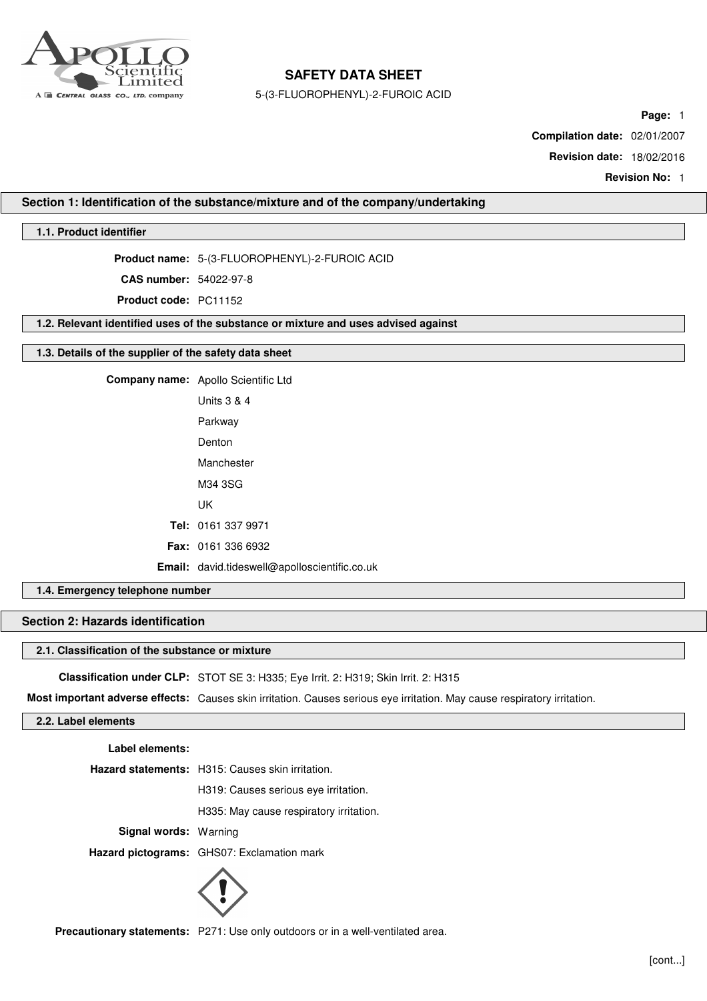

5-(3-FLUOROPHENYL)-2-FUROIC ACID

**Page:** 1

**Compilation date:** 02/01/2007

**Revision date:** 18/02/2016

**Revision No:** 1

## **Section 1: Identification of the substance/mixture and of the company/undertaking**

# **1.1. Product identifier**

**Product name:** 5-(3-FLUOROPHENYL)-2-FUROIC ACID

**CAS number:** 54022-97-8

**Product code:** PC11152

**1.2. Relevant identified uses of the substance or mixture and uses advised against**

## **1.3. Details of the supplier of the safety data sheet**

**Company name:** Apollo Scientific Ltd Units 3 & 4 Parkway Denton Manchester M34 3SG UK **Tel:** 0161 337 9971 **Fax:** 0161 336 6932 **Email:** david.tideswell@apolloscientific.co.uk

# **1.4. Emergency telephone number**

# **Section 2: Hazards identification**

### **2.1. Classification of the substance or mixture**

**Classification under CLP:** STOT SE 3: H335; Eye Irrit. 2: H319; Skin Irrit. 2: H315

**Most important adverse effects:** Causes skin irritation. Causes serious eye irritation. May cause respiratory irritation.

# **2.2. Label elements**

**Label elements:**

**Hazard statements:** H315: Causes skin irritation.

H319: Causes serious eye irritation.

H335: May cause respiratory irritation.

**Signal words:** Warning

**Hazard pictograms:** GHS07: Exclamation mark



**Precautionary statements:** P271: Use only outdoors or in a well-ventilated area.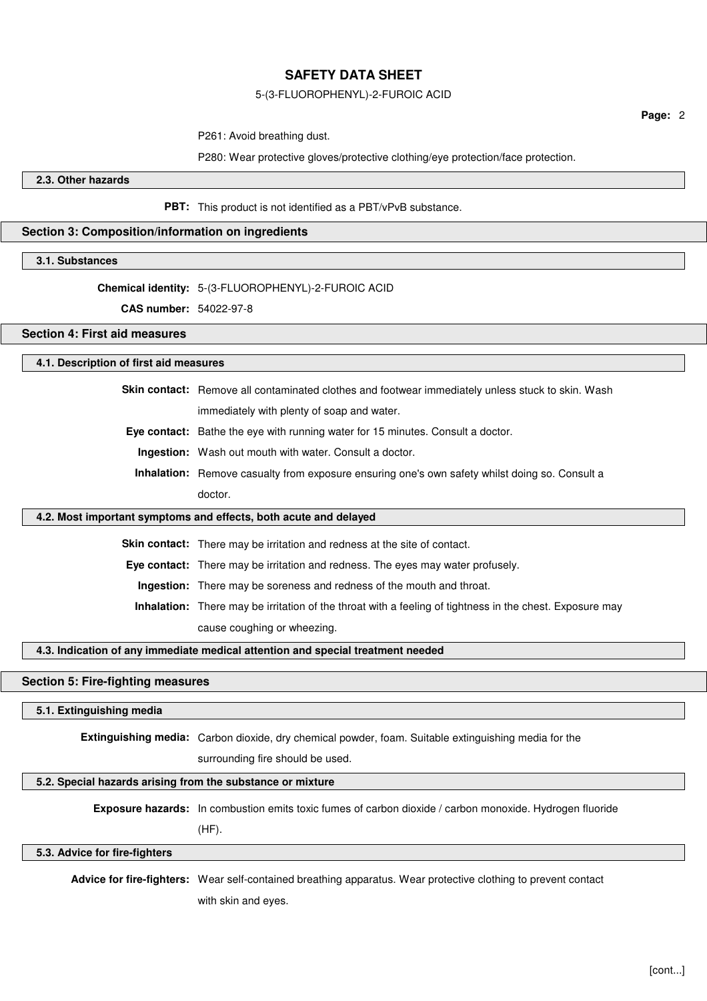### 5-(3-FLUOROPHENYL)-2-FUROIC ACID

P261: Avoid breathing dust.

P280: Wear protective gloves/protective clothing/eye protection/face protection.

**2.3. Other hazards**

**PBT:** This product is not identified as a PBT/vPvB substance.

# **Section 3: Composition/information on ingredients**

**3.1. Substances**

# **Chemical identity:** 5-(3-FLUOROPHENYL)-2-FUROIC ACID

**CAS number:** 54022-97-8

# **Section 4: First aid measures**

### **4.1. Description of first aid measures**

**Skin contact:** Remove all contaminated clothes and footwear immediately unless stuck to skin. Wash immediately with plenty of soap and water.

**Eye contact:** Bathe the eye with running water for 15 minutes. Consult a doctor.

**Ingestion:** Wash out mouth with water. Consult a doctor.

**Inhalation:** Remove casualty from exposure ensuring one's own safety whilst doing so. Consult a doctor.

#### **4.2. Most important symptoms and effects, both acute and delayed**

**Skin contact:** There may be irritation and redness at the site of contact.

**Eye contact:** There may be irritation and redness. The eyes may water profusely.

**Ingestion:** There may be soreness and redness of the mouth and throat.

**Inhalation:** There may be irritation of the throat with a feeling of tightness in the chest. Exposure may cause coughing or wheezing.

# **4.3. Indication of any immediate medical attention and special treatment needed**

# **Section 5: Fire-fighting measures**

### **5.1. Extinguishing media**

**Extinguishing media:** Carbon dioxide, dry chemical powder, foam. Suitable extinguishing media for the

surrounding fire should be used.

# **5.2. Special hazards arising from the substance or mixture**

**Exposure hazards:** In combustion emits toxic fumes of carbon dioxide / carbon monoxide. Hydrogen fluoride

(HF).

**5.3. Advice for fire-fighters**

**Advice for fire-fighters:** Wear self-contained breathing apparatus. Wear protective clothing to prevent contact with skin and eyes.

**Page:** 2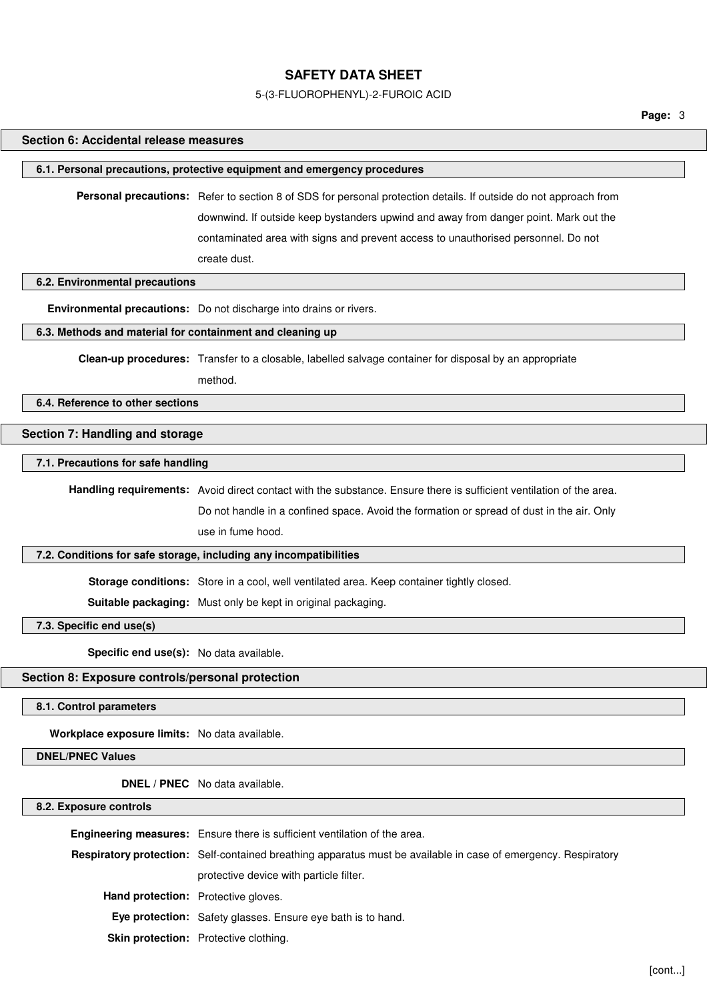### 5-(3-FLUOROPHENYL)-2-FUROIC ACID

# **Section 6: Accidental release measures**

### **6.1. Personal precautions, protective equipment and emergency procedures**

**Personal precautions:** Refer to section 8 of SDS for personal protection details. If outside do not approach from downwind. If outside keep bystanders upwind and away from danger point. Mark out the contaminated area with signs and prevent access to unauthorised personnel. Do not create dust.

# **6.2. Environmental precautions**

**Environmental precautions:** Do not discharge into drains or rivers.

## **6.3. Methods and material for containment and cleaning up**

**Clean-up procedures:** Transfer to a closable, labelled salvage container for disposal by an appropriate

method.

## **6.4. Reference to other sections**

## **Section 7: Handling and storage**

# **7.1. Precautions for safe handling**

**Handling requirements:** Avoid direct contact with the substance. Ensure there is sufficient ventilation of the area. Do not handle in a confined space. Avoid the formation or spread of dust in the air. Only

use in fume hood.

# **7.2. Conditions for safe storage, including any incompatibilities**

**Storage conditions:** Store in a cool, well ventilated area. Keep container tightly closed.

**Suitable packaging:** Must only be kept in original packaging.

**7.3. Specific end use(s)**

**Specific end use(s):** No data available.

### **Section 8: Exposure controls/personal protection**

**8.1. Control parameters**

**Workplace exposure limits:** No data available.

### **DNEL/PNEC Values**

**DNEL / PNEC** No data available.

#### **8.2. Exposure controls**

|                                            | Engineering measures: Ensure there is sufficient ventilation of the area.                                      |
|--------------------------------------------|----------------------------------------------------------------------------------------------------------------|
|                                            | Respiratory protection: Self-contained breathing apparatus must be available in case of emergency. Respiratory |
|                                            | protective device with particle filter.                                                                        |
| <b>Hand protection:</b> Protective gloves. |                                                                                                                |
|                                            | Eye protection: Safety glasses. Ensure eye bath is to hand.                                                    |
|                                            | Skin protection: Protective clothing.                                                                          |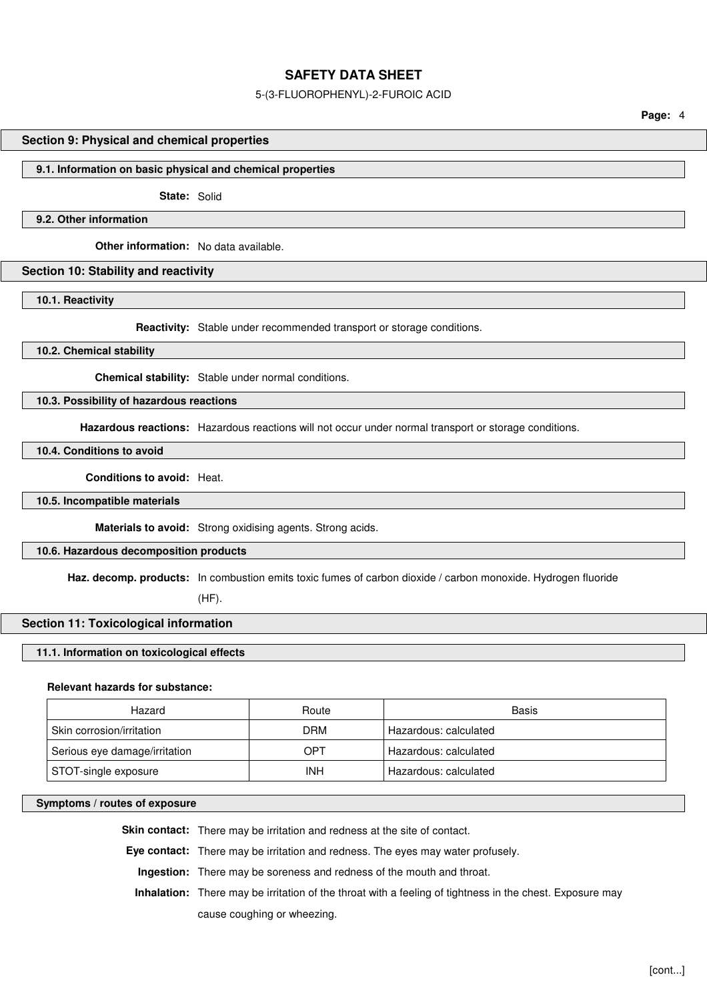### 5-(3-FLUOROPHENYL)-2-FUROIC ACID

**Page:** 4

### **Section 9: Physical and chemical properties**

### **9.1. Information on basic physical and chemical properties**

**State:** Solid

# **9.2. Other information**

**Other information:** No data available.

## **Section 10: Stability and reactivity**

**10.1. Reactivity**

**Reactivity:** Stable under recommended transport or storage conditions.

**10.2. Chemical stability**

**Chemical stability:** Stable under normal conditions.

# **10.3. Possibility of hazardous reactions**

**Hazardous reactions:** Hazardous reactions will not occur under normal transport or storage conditions.

**10.4. Conditions to avoid**

**Conditions to avoid:** Heat.

**10.5. Incompatible materials**

**Materials to avoid:** Strong oxidising agents. Strong acids.

## **10.6. Hazardous decomposition products**

**Haz. decomp. products:** In combustion emits toxic fumes of carbon dioxide / carbon monoxide. Hydrogen fluoride

(HF).

## **Section 11: Toxicological information**

## **11.1. Information on toxicological effects**

## **Relevant hazards for substance:**

| Hazard                        | Route      | Basis                 |
|-------------------------------|------------|-----------------------|
| Skin corrosion/irritation     | DRM        | Hazardous: calculated |
| Serious eye damage/irritation | OPT        | Hazardous: calculated |
| STOT-single exposure          | <b>INH</b> | Hazardous: calculated |

## **Symptoms / routes of exposure**

**Skin contact:** There may be irritation and redness at the site of contact.

**Eye contact:** There may be irritation and redness. The eyes may water profusely.

**Ingestion:** There may be soreness and redness of the mouth and throat.

**Inhalation:** There may be irritation of the throat with a feeling of tightness in the chest. Exposure may cause coughing or wheezing.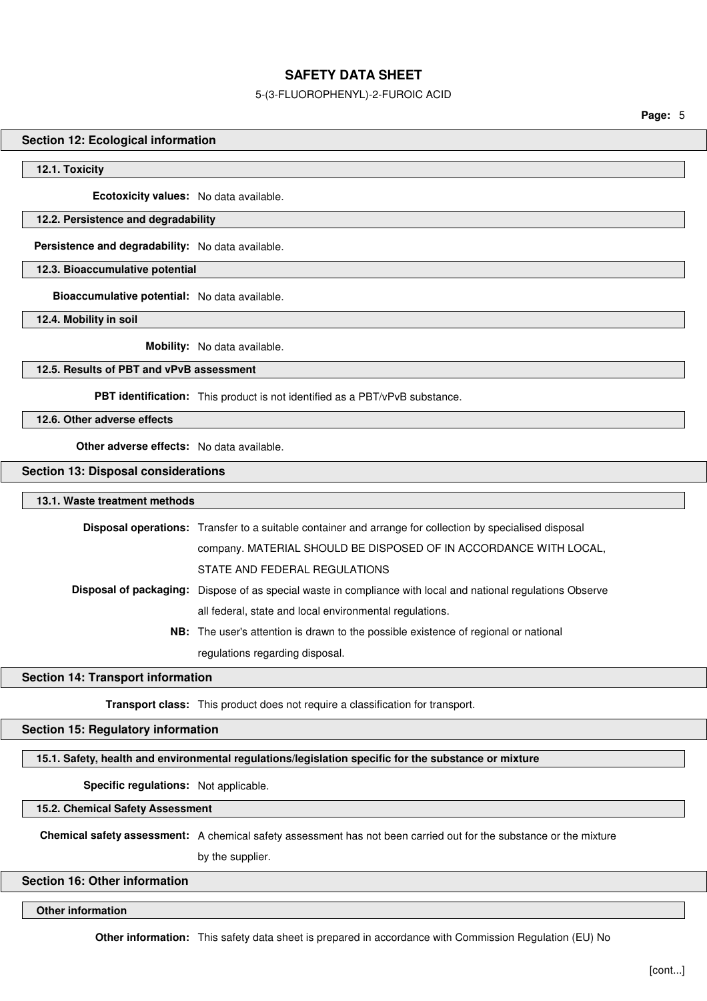### 5-(3-FLUOROPHENYL)-2-FUROIC ACID

**Page:** 5

## **Section 12: Ecological information**

**12.1. Toxicity**

**Ecotoxicity values:** No data available.

## **12.2. Persistence and degradability**

**Persistence and degradability:** No data available.

**12.3. Bioaccumulative potential**

**Bioaccumulative potential:** No data available.

**12.4. Mobility in soil**

**Mobility:** No data available.

# **12.5. Results of PBT and vPvB assessment**

**PBT identification:** This product is not identified as a PBT/vPvB substance.

**12.6. Other adverse effects**

**Other adverse effects:** No data available.

## **Section 13: Disposal considerations**

# **13.1. Waste treatment methods**

| <b>Disposal operations:</b> Transfer to a suitable container and arrange for collection by specialised disposal     |
|---------------------------------------------------------------------------------------------------------------------|
| company. MATERIAL SHOULD BE DISPOSED OF IN ACCORDANCE WITH LOCAL,                                                   |
| STATE AND FEDERAL REGULATIONS                                                                                       |
| <b>Disposal of packaging:</b> Dispose of as special waste in compliance with local and national regulations Observe |
| all federal, state and local environmental regulations.                                                             |
| <b>NB:</b> The user's attention is drawn to the possible existence of regional or national                          |
| regulations regarding disposal.                                                                                     |

## **Section 14: Transport information**

**Transport class:** This product does not require a classification for transport.

# **Section 15: Regulatory information**

## **15.1. Safety, health and environmental regulations/legislation specific for the substance or mixture**

**Specific regulations:** Not applicable.

**15.2. Chemical Safety Assessment**

**Chemical safety assessment:** A chemical safety assessment has not been carried out for the substance or the mixture

by the supplier.

# **Section 16: Other information**

**Other information**

**Other information:** This safety data sheet is prepared in accordance with Commission Regulation (EU) No